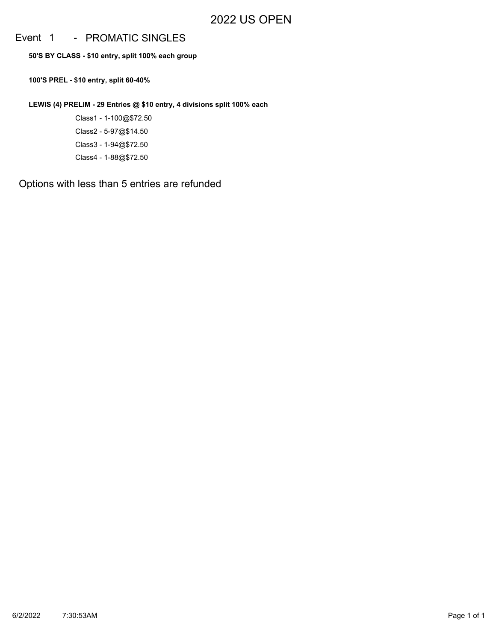## Event 1 - PROMATIC SINGLES

**50'S BY CLASS - \$10 entry, split 100% each group**

**100'S PREL - \$10 entry, split 60-40%**

**LEWIS (4) PRELIM - 29 Entries @ \$10 entry, 4 divisions split 100% each**

Class1 - 1-100@\$72.50 Class2 - 5-97@\$14.50 Class3 - 1-94@\$72.50 Class4 - 1-88@\$72.50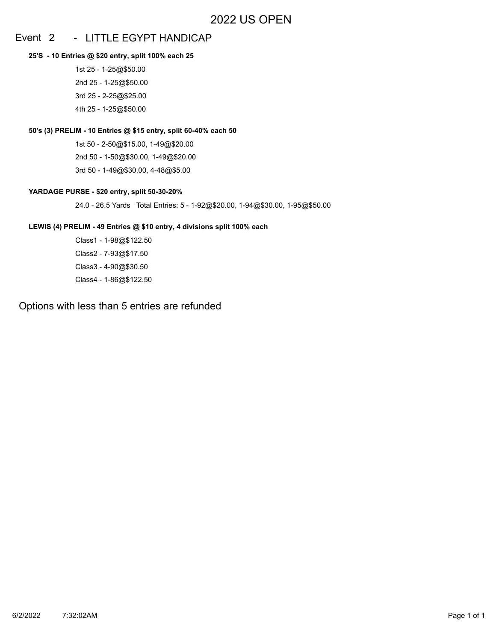## Event 2 - LITTLE EGYPT HANDICAP

#### **25'S - 10 Entries @ \$20 entry, split 100% each 25**

1st 25 - 1-25@\$50.00 2nd 25 - 1-25@\$50.00 3rd 25 - 2-25@\$25.00 4th 25 - 1-25@\$50.00

### **50's (3) PRELIM - 10 Entries @ \$15 entry, split 60-40% each 50**

1st 50 - 2-50@\$15.00, 1-49@\$20.00 2nd 50 - 1-50@\$30.00, 1-49@\$20.00 3rd 50 - 1-49@\$30.00, 4-48@\$5.00

### **YARDAGE PURSE - \$20 entry, split 50-30-20%**

24.0 - 26.5 Yards Total Entries: 5 - 1-92@\$20.00, 1-94@\$30.00, 1-95@\$50.00

### **LEWIS (4) PRELIM - 49 Entries @ \$10 entry, 4 divisions split 100% each**

Class1 - 1-98@\$122.50 Class2 - 7-93@\$17.50 Class3 - 4-90@\$30.50 Class4 - 1-86@\$122.50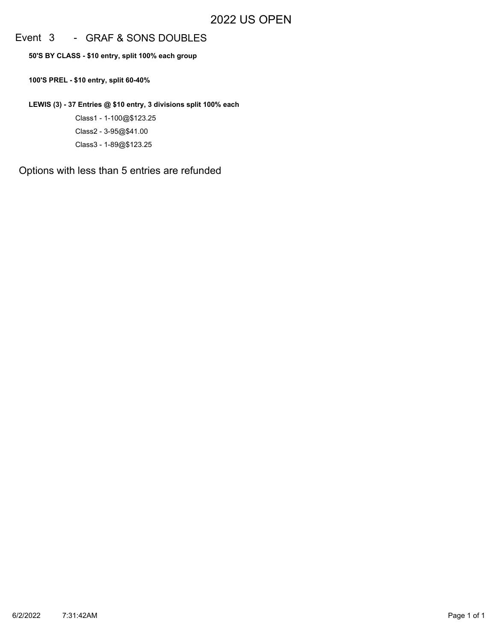## Event 3 - GRAF & SONS DOUBLES

**50'S BY CLASS - \$10 entry, split 100% each group**

**100'S PREL - \$10 entry, split 60-40%**

**LEWIS (3) - 37 Entries @ \$10 entry, 3 divisions split 100% each**

Class1 - 1-100@\$123.25 Class2 - 3-95@\$41.00 Class3 - 1-89@\$123.25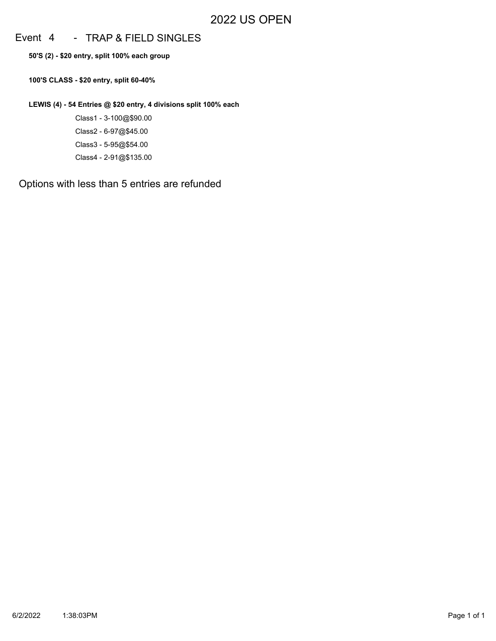## Event 4 - TRAP & FIELD SINGLES

**50'S (2) - \$20 entry, split 100% each group**

**100'S CLASS - \$20 entry, split 60-40%**

**LEWIS (4) - 54 Entries @ \$20 entry, 4 divisions split 100% each**

Class1 - 3-100@\$90.00 Class2 - 6-97@\$45.00 Class3 - 5-95@\$54.00 Class4 - 2-91@\$135.00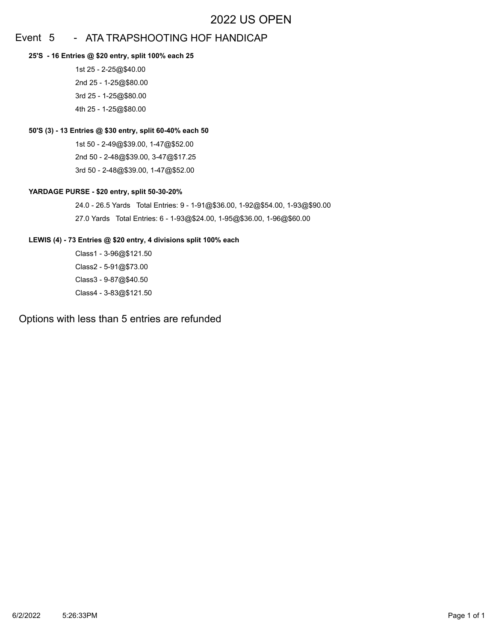## Event 5 - ATA TRAPSHOOTING HOF HANDICAP

#### **25'S - 16 Entries @ \$20 entry, split 100% each 25**

1st 25 - 2-25@\$40.00 2nd 25 - 1-25@\$80.00 3rd 25 - 1-25@\$80.00 4th 25 - 1-25@\$80.00

### **50'S (3) - 13 Entries @ \$30 entry, split 60-40% each 50**

1st 50 - 2-49@\$39.00, 1-47@\$52.00 2nd 50 - 2-48@\$39.00, 3-47@\$17.25 3rd 50 - 2-48@\$39.00, 1-47@\$52.00

### **YARDAGE PURSE - \$20 entry, split 50-30-20%**

24.0 - 26.5 Yards Total Entries: 9 - 1-91@\$36.00, 1-92@\$54.00, 1-93@\$90.00 27.0 Yards Total Entries: 6 - 1-93@\$24.00, 1-95@\$36.00, 1-96@\$60.00

### **LEWIS (4) - 73 Entries @ \$20 entry, 4 divisions split 100% each**

Class1 - 3-96@\$121.50 Class2 - 5-91@\$73.00 Class3 - 9-87@\$40.50 Class4 - 3-83@\$121.50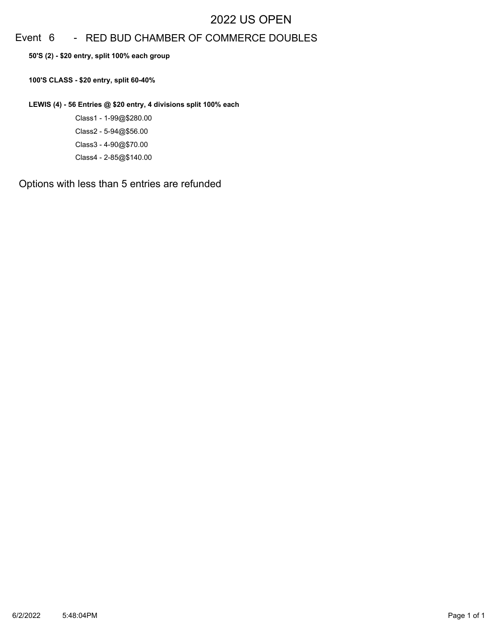# Event 6 - RED BUD CHAMBER OF COMMERCE DOUBLES

**50'S (2) - \$20 entry, split 100% each group**

**100'S CLASS - \$20 entry, split 60-40%**

**LEWIS (4) - 56 Entries @ \$20 entry, 4 divisions split 100% each**

Class1 - 1-99@\$280.00 Class2 - 5-94@\$56.00 Class3 - 4-90@\$70.00 Class4 - 2-85@\$140.00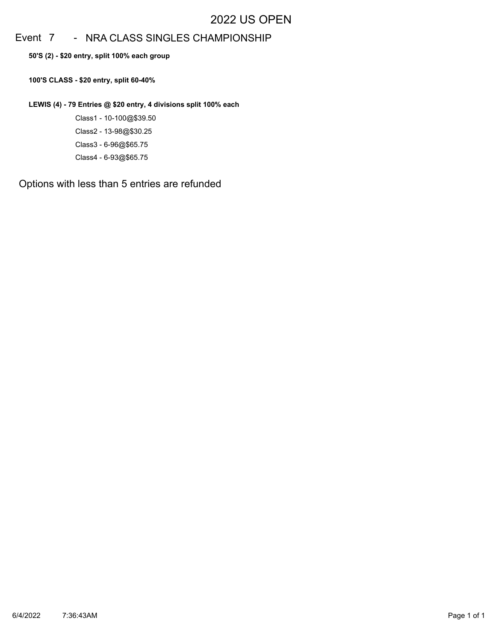# Event 7 - NRA CLASS SINGLES CHAMPIONSHIP

**50'S (2) - \$20 entry, split 100% each group**

**100'S CLASS - \$20 entry, split 60-40%**

**LEWIS (4) - 79 Entries @ \$20 entry, 4 divisions split 100% each**

Class1 - 10-100@\$39.50 Class2 - 13-98@\$30.25 Class3 - 6-96@\$65.75 Class4 - 6-93@\$65.75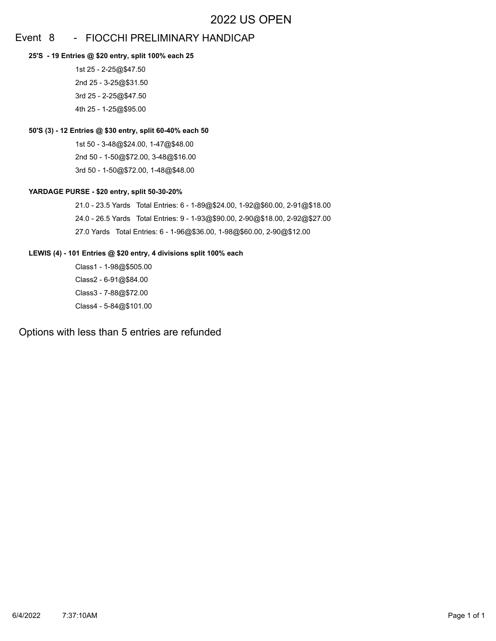## Event 8 - FIOCCHI PRELIMINARY HANDICAP

#### **25'S - 19 Entries @ \$20 entry, split 100% each 25**

1st 25 - 2-25@\$47.50 2nd 25 - 3-25@\$31.50 3rd 25 - 2-25@\$47.50 4th 25 - 1-25@\$95.00

### **50'S (3) - 12 Entries @ \$30 entry, split 60-40% each 50**

1st 50 - 3-48@\$24.00, 1-47@\$48.00 2nd 50 - 1-50@\$72.00, 3-48@\$16.00 3rd 50 - 1-50@\$72.00, 1-48@\$48.00

### **YARDAGE PURSE - \$20 entry, split 50-30-20%**

21.0 - 23.5 Yards Total Entries: 6 - 1-89@\$24.00, 1-92@\$60.00, 2-91@\$18.00 24.0 - 26.5 Yards Total Entries: 9 - 1-93@\$90.00, 2-90@\$18.00, 2-92@\$27.00 27.0 Yards Total Entries: 6 - 1-96@\$36.00, 1-98@\$60.00, 2-90@\$12.00

### **LEWIS (4) - 101 Entries @ \$20 entry, 4 divisions split 100% each**

Class1 - 1-98@\$505.00 Class2 - 6-91@\$84.00 Class3 - 7-88@\$72.00 Class4 - 5-84@\$101.00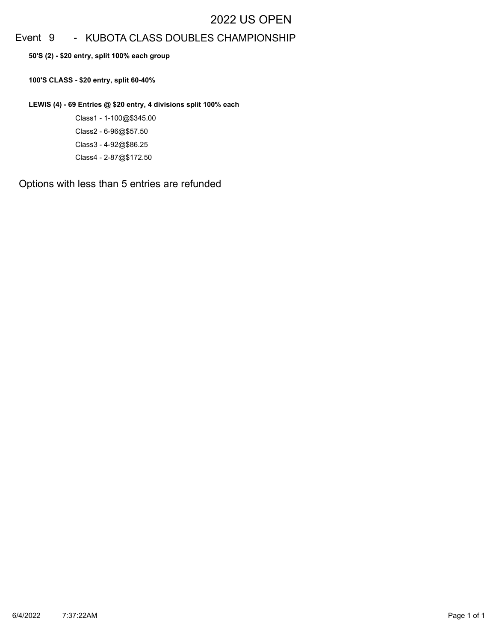# Event 9 - KUBOTA CLASS DOUBLES CHAMPIONSHIP

**50'S (2) - \$20 entry, split 100% each group**

**100'S CLASS - \$20 entry, split 60-40%**

**LEWIS (4) - 69 Entries @ \$20 entry, 4 divisions split 100% each**

Class1 - 1-100@\$345.00 Class2 - 6-96@\$57.50 Class3 - 4-92@\$86.25 Class4 - 2-87@\$172.50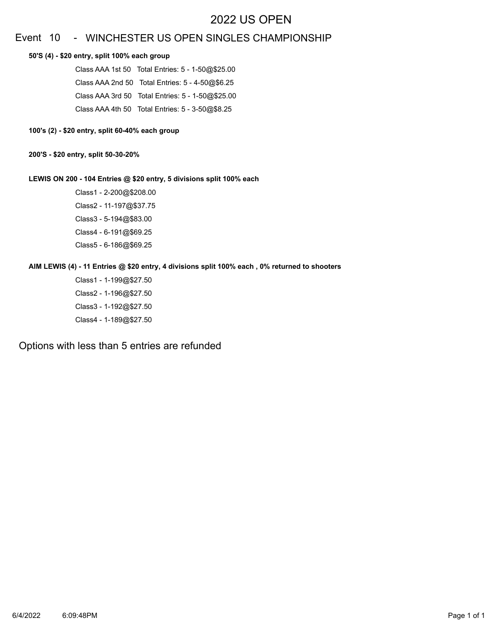## Event 10 - WINCHESTER US OPEN SINGLES CHAMPIONSHIP

#### **50'S (4) - \$20 entry, split 100% each group**

Class AAA 1st 50 Total Entries: 5 - 1-50@\$25.00 Class AAA 2nd 50 Total Entries: 5 - 4-50@\$6.25 Class AAA 3rd 50 Total Entries: 5 - 1-50@\$25.00 Class AAA 4th 50 Total Entries: 5 - 3-50@\$8.25

### **100's (2) - \$20 entry, split 60-40% each group**

#### **200'S - \$20 entry, split 50-30-20%**

### **LEWIS ON 200 - 104 Entries @ \$20 entry, 5 divisions split 100% each**

Class1 - 2-200@\$208.00 Class2 - 11-197@\$37.75 Class3 - 5-194@\$83.00 Class4 - 6-191@\$69.25 Class5 - 6-186@\$69.25

### **AIM LEWIS (4) - 11 Entries @ \$20 entry, 4 divisions split 100% each , 0% returned to shooters**

Class1 - 1-199@\$27.50 Class2 - 1-196@\$27.50 Class3 - 1-192@\$27.50 Class4 - 1-189@\$27.50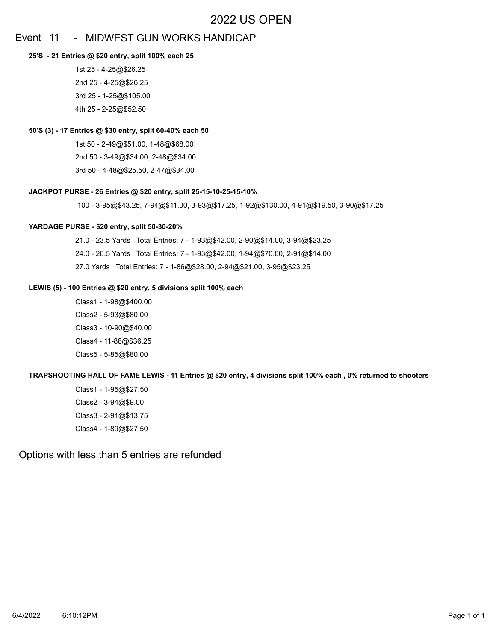## Event 11 - MIDWEST GUN WORKS HANDICAP

#### **25'S - 21 Entries @ \$20 entry, split 100% each 25**

1st 25 - 4-25@\$26.25 2nd 25 - 4-25@\$26.25 3rd 25 - 1-25@\$105.00 4th 25 - 2-25@\$52.50

#### **50'S (3) - 17 Entries @ \$30 entry, split 60-40% each 50**

1st 50 - 2-49@\$51.00, 1-48@\$68.00 2nd 50 - 3-49@\$34.00, 2-48@\$34.00 3rd 50 - 4-48@\$25.50, 2-47@\$34.00

#### **JACKPOT PURSE - 26 Entries @ \$20 entry, split 25-15-10-25-15-10%**

100 - 3-95@\$43.25, 7-94@\$11.00, 3-93@\$17.25, 1-92@\$130.00, 4-91@\$19.50, 3-90@\$17.25

#### **YARDAGE PURSE - \$20 entry, split 50-30-20%**

21.0 - 23.5 Yards Total Entries: 7 - 1-93@\$42.00, 2-90@\$14.00, 3-94@\$23.25 24.0 - 26.5 Yards Total Entries: 7 - 1-93@\$42.00, 1-94@\$70.00, 2-91@\$14.00 27.0 Yards Total Entries: 7 - 1-86@\$28.00, 2-94@\$21.00, 3-95@\$23.25

#### **LEWIS (5) - 100 Entries @ \$20 entry, 5 divisions split 100% each**

Class1 - 1-98@\$400.00 Class2 - 5-93@\$80.00 Class3 - 10-90@\$40.00 Class4 - 11-88@\$36.25 Class5 - 5-85@\$80.00

#### **TRAPSHOOTING HALL OF FAME LEWIS - 11 Entries @ \$20 entry, 4 divisions split 100% each , 0% returned to shooters**

Class1 - 1-95@\$27.50 Class2 - 3-94@\$9.00 Class3 - 2-91@\$13.75 Class4 - 1-89@\$27.50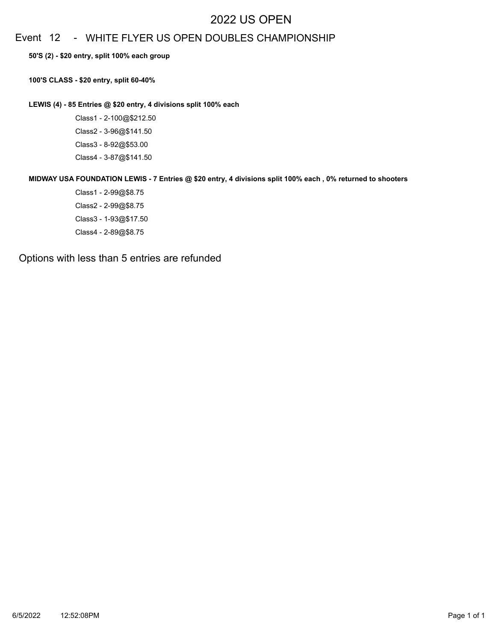## Event 12 - WHITE FLYER US OPEN DOUBLES CHAMPIONSHIP

**50'S (2) - \$20 entry, split 100% each group**

**100'S CLASS - \$20 entry, split 60-40%**

**LEWIS (4) - 85 Entries @ \$20 entry, 4 divisions split 100% each**

Class1 - 2-100@\$212.50 Class2 - 3-96@\$141.50 Class3 - 8-92@\$53.00 Class4 - 3-87@\$141.50

**MIDWAY USA FOUNDATION LEWIS - 7 Entries @ \$20 entry, 4 divisions split 100% each , 0% returned to shooters**

Class1 - 2-99@\$8.75 Class2 - 2-99@\$8.75 Class3 - 1-93@\$17.50 Class4 - 2-89@\$8.75